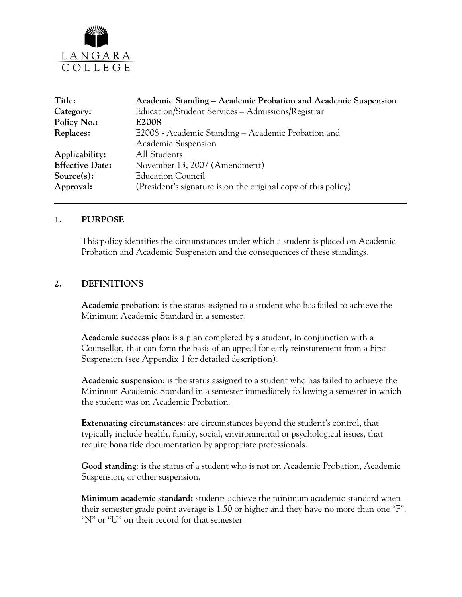

| Title:                 | Academic Standing – Academic Probation and Academic Suspension |
|------------------------|----------------------------------------------------------------|
| Category:              | Education/Student Services - Admissions/Registrar              |
| Policy No.:            | E <sub>2008</sub>                                              |
| Replaces:              | E2008 - Academic Standing - Academic Probation and             |
|                        | Academic Suspension                                            |
| Applicability:         | All Students                                                   |
| <b>Effective Date:</b> | November 13, 2007 (Amendment)                                  |
| $Source(s)$ :          | <b>Education Council</b>                                       |
| Approval:              | (President's signature is on the original copy of this policy) |

#### **1. PURPOSE**

This policy identifies the circumstances under which a student is placed on Academic Probation and Academic Suspension and the consequences of these standings.

#### **2. DEFINITIONS**

**Academic probation**: is the status assigned to a student who has failed to achieve the Minimum Academic Standard in a semester.

**Academic success plan**: is a plan completed by a student, in conjunction with a Counsellor, that can form the basis of an appeal for early reinstatement from a First Suspension (see Appendix 1 for detailed description).

**Academic suspension**: is the status assigned to a student who has failed to achieve the Minimum Academic Standard in a semester immediately following a semester in which the student was on Academic Probation.

**Extenuating circumstances**: are circumstances beyond the student's control, that typically include health, family, social, environmental or psychological issues, that require bona fide documentation by appropriate professionals.

**Good standing**: is the status of a student who is not on Academic Probation, Academic Suspension, or other suspension.

**Minimum academic standard:** students achieve the minimum academic standard when their semester grade point average is 1.50 or higher and they have no more than one "F", "N" or "U" on their record for that semester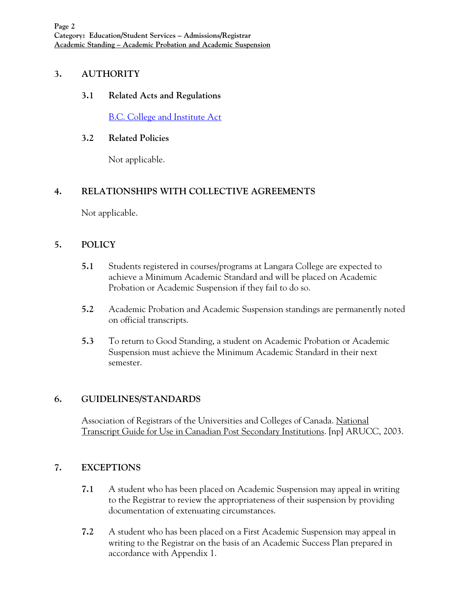# **3. AUTHORITY**

### **3.1 Related Acts and Regulations**

[B.C. College and Institute Act](http://www.qp.gov.bc.ca/statreg/stat/C/96052_01.htm)

### **3.2 Related Policies**

Not applicable.

# **4. RELATIONSHIPS WITH COLLECTIVE AGREEMENTS**

Not applicable.

# **5. POLICY**

- **5.1** Students registered in courses/programs at Langara College are expected to achieve a Minimum Academic Standard and will be placed on Academic Probation or Academic Suspension if they fail to do so.
- **5.2** Academic Probation and Academic Suspension standings are permanently noted on official transcripts.
- **5.3** To return to Good Standing, a student on Academic Probation or Academic Suspension must achieve the Minimum Academic Standard in their next semester.

# **6. GUIDELINES/STANDARDS**

Association of Registrars of the Universities and Colleges of Canada. National Transcript Guide for Use in Canadian Post Secondary Institutions. [np] ARUCC, 2003.

# **7. EXCEPTIONS**

- **7.1** A student who has been placed on Academic Suspension may appeal in writing to the Registrar to review the appropriateness of their suspension by providing documentation of extenuating circumstances.
- **7.2** A student who has been placed on a First Academic Suspension may appeal in writing to the Registrar on the basis of an Academic Success Plan prepared in accordance with Appendix 1.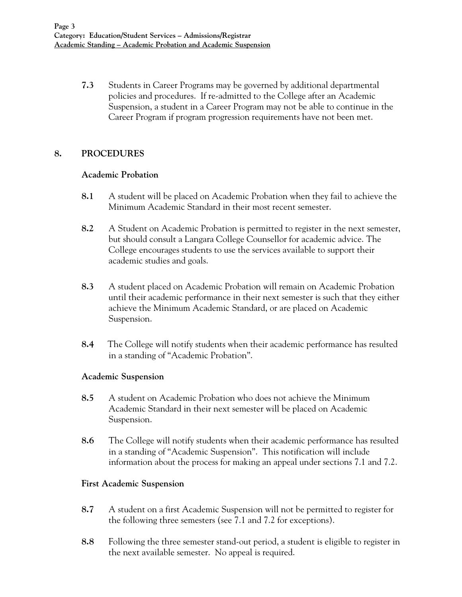**7.3** Students in Career Programs may be governed by additional departmental policies and procedures. If re-admitted to the College after an Academic Suspension, a student in a Career Program may not be able to continue in the Career Program if program progression requirements have not been met.

### **8. PROCEDURES**

#### **Academic Probation**

- **8.1** A student will be placed on Academic Probation when they fail to achieve the Minimum Academic Standard in their most recent semester.
- **8.2** A Student on Academic Probation is permitted to register in the next semester, but should consult a Langara College Counsellor for academic advice. The College encourages students to use the services available to support their academic studies and goals.
- **8.3** A student placed on Academic Probation will remain on Academic Probation until their academic performance in their next semester is such that they either achieve the Minimum Academic Standard, or are placed on Academic Suspension.
- **8.4** The College will notify students when their academic performance has resulted in a standing of "Academic Probation".

### **Academic Suspension**

- **8.5** A student on Academic Probation who does not achieve the Minimum Academic Standard in their next semester will be placed on Academic Suspension.
- **8.6** The College will notify students when their academic performance has resulted in a standing of "Academic Suspension". This notification will include information about the process for making an appeal under sections 7.1 and 7.2.

### **First Academic Suspension**

- **8.7** A student on a first Academic Suspension will not be permitted to register for the following three semesters (see 7.1 and 7.2 for exceptions).
- **8.8** Following the three semester stand-out period, a student is eligible to register in the next available semester. No appeal is required.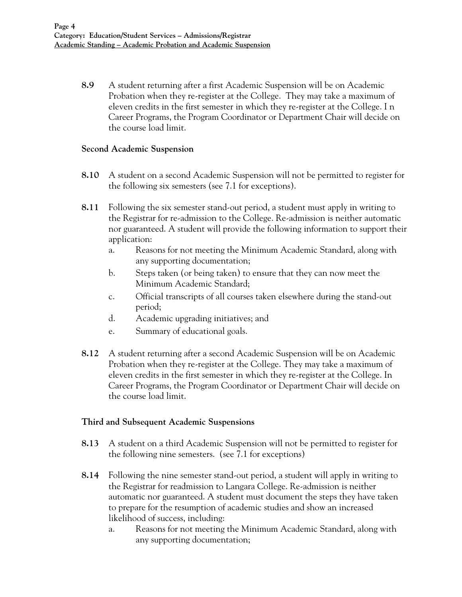**8.9** A student returning after a first Academic Suspension will be on Academic Probation when they re-register at the College. They may take a maximum of eleven credits in the first semester in which they re-register at the College. I n Career Programs, the Program Coordinator or Department Chair will decide on the course load limit.

#### **Second Academic Suspension**

- **8.10** A student on a second Academic Suspension will not be permitted to register for the following six semesters (see 7.1 for exceptions).
- **8.11** Following the six semester stand-out period, a student must apply in writing to the Registrar for re-admission to the College. Re-admission is neither automatic nor guaranteed. A student will provide the following information to support their application:
	- a. Reasons for not meeting the Minimum Academic Standard, along with any supporting documentation;
	- b. Steps taken (or being taken) to ensure that they can now meet the Minimum Academic Standard;
	- c. Official transcripts of all courses taken elsewhere during the stand-out period;
	- d. Academic upgrading initiatives; and
	- e. Summary of educational goals.
- **8.12** A student returning after a second Academic Suspension will be on Academic Probation when they re-register at the College. They may take a maximum of eleven credits in the first semester in which they re-register at the College. In Career Programs, the Program Coordinator or Department Chair will decide on the course load limit.

### **Third and Subsequent Academic Suspensions**

- **8.13** A student on a third Academic Suspension will not be permitted to register for the following nine semesters. (see 7.1 for exceptions)
- **8.14** Following the nine semester stand-out period, a student will apply in writing to the Registrar for readmission to Langara College. Re-admission is neither automatic nor guaranteed. A student must document the steps they have taken to prepare for the resumption of academic studies and show an increased likelihood of success, including:
	- a. Reasons for not meeting the Minimum Academic Standard, along with any supporting documentation;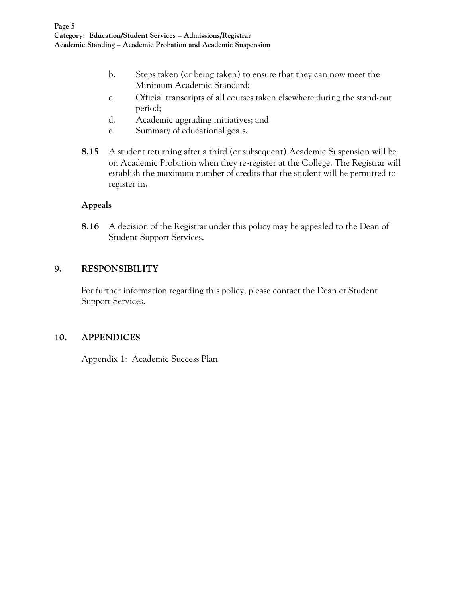- b. Steps taken (or being taken) to ensure that they can now meet the Minimum Academic Standard;
- c. Official transcripts of all courses taken elsewhere during the stand-out period;
- d. Academic upgrading initiatives; and
- e. Summary of educational goals.
- **8.15** A student returning after a third (or subsequent) Academic Suspension will be on Academic Probation when they re-register at the College. The Registrar will establish the maximum number of credits that the student will be permitted to register in.

### **Appeals**

**8.16** A decision of the Registrar under this policy may be appealed to the Dean of Student Support Services.

### **9. RESPONSIBILITY**

For further information regarding this policy, please contact the Dean of Student Support Services.

### **10. APPENDICES**

Appendix 1: Academic Success Plan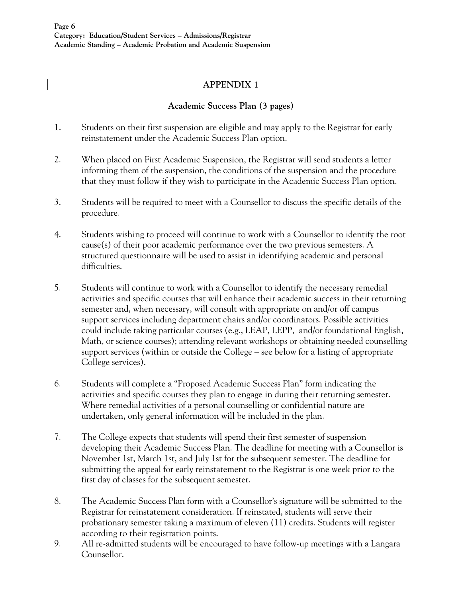# **APPENDIX 1**

# **Academic Success Plan (3 pages)**

- 1. Students on their first suspension are eligible and may apply to the Registrar for early reinstatement under the Academic Success Plan option.
- 2. When placed on First Academic Suspension, the Registrar will send students a letter informing them of the suspension, the conditions of the suspension and the procedure that they must follow if they wish to participate in the Academic Success Plan option.
- 3. Students will be required to meet with a Counsellor to discuss the specific details of the procedure.
- 4. Students wishing to proceed will continue to work with a Counsellor to identify the root cause(s) of their poor academic performance over the two previous semesters. A structured questionnaire will be used to assist in identifying academic and personal difficulties.
- 5. Students will continue to work with a Counsellor to identify the necessary remedial activities and specific courses that will enhance their academic success in their returning semester and, when necessary, will consult with appropriate on and/or off campus support services including department chairs and/or coordinators. Possible activities could include taking particular courses (e.g., LEAP, LEPP, and/or foundational English, Math, or science courses); attending relevant workshops or obtaining needed counselling support services (within or outside the College – see below for a listing of appropriate College services).
- 6. Students will complete a "Proposed Academic Success Plan" form indicating the activities and specific courses they plan to engage in during their returning semester. Where remedial activities of a personal counselling or confidential nature are undertaken, only general information will be included in the plan.
- 7. The College expects that students will spend their first semester of suspension developing their Academic Success Plan. The deadline for meeting with a Counsellor is November 1st, March 1st, and July 1st for the subsequent semester. The deadline for submitting the appeal for early reinstatement to the Registrar is one week prior to the first day of classes for the subsequent semester.
- 8. The Academic Success Plan form with a Counsellor's signature will be submitted to the Registrar for reinstatement consideration. If reinstated, students will serve their probationary semester taking a maximum of eleven (11) credits. Students will register according to their registration points.
- 9. All re-admitted students will be encouraged to have follow-up meetings with a Langara Counsellor.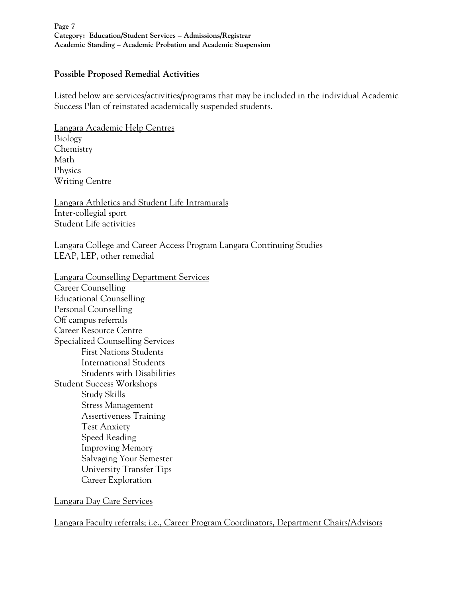#### **Possible Proposed Remedial Activities**

Listed below are services/activities/programs that may be included in the individual Academic Success Plan of reinstated academically suspended students.

Langara Academic Help Centres Biology Chemistry Math Physics Writing Centre

Langara Athletics and Student Life Intramurals Inter-collegial sport Student Life activities

Langara College and Career Access Program Langara Continuing Studies LEAP, LEP, other remedial

Langara Counselling Department Services Career Counselling Educational Counselling Personal Counselling Off campus referrals Career Resource Centre Specialized Counselling Services First Nations Students International Students Students with Disabilities Student Success Workshops Study Skills Stress Management Assertiveness Training Test Anxiety Speed Reading Improving Memory Salvaging Your Semester University Transfer Tips Career Exploration

Langara Day Care Services

Langara Faculty referrals; i.e., Career Program Coordinators, Department Chairs/Advisors